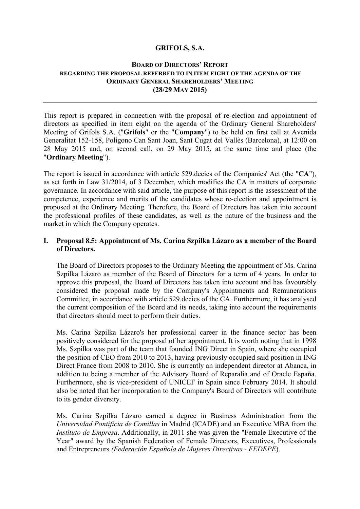## **GRIFOLS, S.A.**

#### **BOARD OF DIRECTORS' REPORT REGARDING THE PROPOSAL REFERRED TO IN ITEM EIGHT OF THE AGENDA OF THE ORDINARY GENERAL SHAREHOLDERS' MEETING (28/29 MAY 2015)**

This report is prepared in connection with the proposal of re-election and appointment of directors as specified in item eight on the agenda of the Ordinary General Shareholders' Meeting of Grifols S.A. ("**Grifols**" or the "**Company**") to be held on first call at Avenida Generalitat 152-158, Polígono Can Sant Joan, Sant Cugat del Vallès (Barcelona), at 12:00 on 28 May 2015 and, on second call, on 29 May 2015, at the same time and place (the "**Ordinary Meeting**").

The report is issued in accordance with article 529.decies of the Companies' Act (the "**CA**"), as set forth in Law 31/2014, of 3 December, which modifies the CA in matters of corporate governance. In accordance with said article, the purpose of this report is the assessment of the competence, experience and merits of the candidates whose re-election and appointment is proposed at the Ordinary Meeting. Therefore, the Board of Directors has taken into account the professional profiles of these candidates, as well as the nature of the business and the market in which the Company operates.

# **I. Proposal 8.5: Appointment of Ms. Carina Szpilka Lázaro as a member of the Board of Directors.**

The Board of Directors proposes to the Ordinary Meeting the appointment of Ms. Carina Szpilka Lázaro as member of the Board of Directors for a term of 4 years. In order to approve this proposal, the Board of Directors has taken into account and has favourably considered the proposal made by the Company's Appointments and Remunerations Committee, in accordance with article 529.decies of the CA. Furthermore, it has analysed the current composition of the Board and its needs, taking into account the requirements that directors should meet to perform their duties.

Ms. Carina Szpilka Lázaro's her professional career in the finance sector has been positively considered for the proposal of her appointment. It is worth noting that in 1998 Ms. Szpilka was part of the team that founded ING Direct in Spain, where she occupied the position of CEO from 2010 to 2013, having previously occupied said position in ING Direct France from 2008 to 2010. She is currently an independent director at Abanca, in addition to being a member of the Advisory Board of Reparalia and of Oracle España. Furthermore, she is vice-president of UNICEF in Spain since February 2014. It should also be noted that her incorporation to the Company's Board of Directors will contribute to its gender diversity.

Ms. Carina Szpilka Lázaro earned a degree in Business Administration from the *Universidad Pontificia de Comillas* in Madrid (ICADE) and an Executive MBA from the *Instituto de Empresa*. Additionally, in 2011 she was given the "Female Executive of the Year" award by the Spanish Federation of Female Directors, Executives, Professionals and Entrepreneurs *(Federación Española de Mujeres Directivas - FEDEPE*).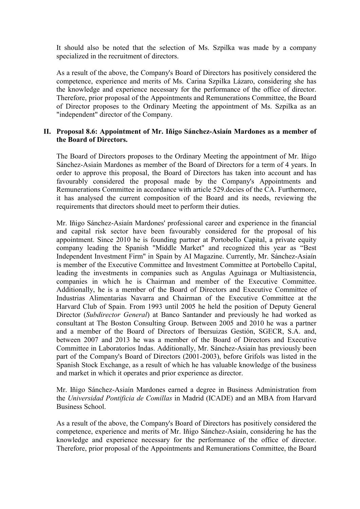It should also be noted that the selection of Ms. Szpilka was made by a company specialized in the recruitment of directors.

As a result of the above, the Company's Board of Directors has positively considered the competence, experience and merits of Ms. Carina Szpilka Lázaro, considering she has the knowledge and experience necessary for the performance of the office of director. Therefore, prior proposal of the Appointments and Remunerations Committee, the Board of Director proposes to the Ordinary Meeting the appointment of Ms. Szpilka as an "independent" director of the Company.

## **II. Proposal 8.6: Appointment of Mr. Iñigo Sánchez-Asiaín Mardones as a member of the Board of Directors.**

The Board of Directors proposes to the Ordinary Meeting the appointment of Mr. Iñigo Sánchez-Asiaín Mardones as member of the Board of Directors for a term of 4 years. In order to approve this proposal, the Board of Directors has taken into account and has favourably considered the proposal made by the Company's Appointments and Remunerations Committee in accordance with article 529.decies of the CA. Furthermore, it has analysed the current composition of the Board and its needs, reviewing the requirements that directors should meet to perform their duties.

Mr. Iñigo Sánchez-Asiaín Mardones' professional career and experience in the financial and capital risk sector have been favourably considered for the proposal of his appointment. Since 2010 he is founding partner at Portobello Capital, a private equity company leading the Spanish "Middle Market" and recognized this year as "Best Independent Investment Firm" in Spain by AI Magazine. Currently, Mr. Sánchez-Asiaín is member of the Executive Committee and Investment Committee at Portobello Capital, leading the investments in companies such as Angulas Aguinaga or Multiasistencia, companies in which he is Chairman and member of the Executive Committee. Additionally, he is a member of the Board of Directors and Executive Committee of Industrias Alimentarias Navarra and Chairman of the Executive Committee at the Harvard Club of Spain. From 1993 until 2005 he held the position of Deputy General Director (*Subdirector General*) at Banco Santander and previously he had worked as consultant at The Boston Consulting Group. Between 2005 and 2010 he was a partner and a member of the Board of Directors of Ibersuizas Gestión, SGECR, S.A. and, between 2007 and 2013 he was a member of the Board of Directors and Executive Committee in Laboratorios Indas. Additionally, Mr. Sánchez-Asiaín has previously been part of the Company's Board of Directors (2001-2003), before Grifols was listed in the Spanish Stock Exchange, as a result of which he has valuable knowledge of the business and market in which it operates and prior experience as director.

Mr. Iñigo Sánchez-Asiaín Mardones earned a degree in Business Administration from the *Universidad Pontificia de Comillas* in Madrid (ICADE) and an MBA from Harvard Business School.

As a result of the above, the Company's Board of Directors has positively considered the competence, experience and merits of Mr. Iñigo Sánchez-Asiaín, considering he has the knowledge and experience necessary for the performance of the office of director. Therefore, prior proposal of the Appointments and Remunerations Committee, the Board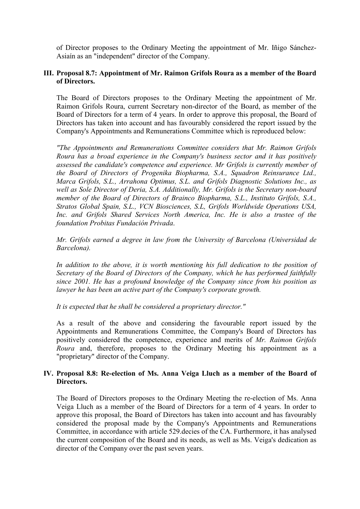of Director proposes to the Ordinary Meeting the appointment of Mr. Iñigo Sánchez-Asiaín as an "independent" director of the Company.

## **III. Proposal 8.7: Appointment of Mr. Raimon Grifols Roura as a member of the Board of Directors.**

The Board of Directors proposes to the Ordinary Meeting the appointment of Mr. Raimon Grifols Roura, current Secretary non-director of the Board, as member of the Board of Directors for a term of 4 years. In order to approve this proposal, the Board of Directors has taken into account and has favourably considered the report issued by the Company's Appointments and Remunerations Committee which is reproduced below:

*"The Appointments and Remunerations Committee considers that Mr. Raimon Grifols Roura has a broad experience in the Company's business sector and it has positively assessed the candidate's competence and experience. Mr Grifols is currently member of the Board of Directors of Progenika Biopharma, S.A., Squadron Reinsurance Ltd., Marca Grifols, S.L., Arrahona Optimus, S.L. and Grifols Diagnostic Solutions Inc., as well as Sole Director of Deria, S.A. Additionally, Mr. Grifols is the Secretary non-board member of the Board of Directors of Brainco Biopharma, S.L., Instituto Grifols, S.A., Stratos Global Spain, S.L., VCN Biosciences, S.L, Grifols Worldwide Operations USA, Inc. and Grifols Shared Services North America, Inc. He is also a trustee of the foundation Probitas Fundación Privada*.

*Mr. Grifols earned a degree in law from the University of Barcelona (Universidad de Barcelona).*

In addition to the above, it is worth mentioning his full dedication to the position of *Secretary of the Board of Directors of the Company, which he has performed faithfully since 2001. He has a profound knowledge of the Company since from his position as lawyer he has been an active part of the Company's corporate growth.* 

*It is expected that he shall be considered a proprietary director."*

As a result of the above and considering the favourable report issued by the Appointments and Remunerations Committee, the Company's Board of Directors has positively considered the competence, experience and merits of *Mr. Raimon Grifols Roura* and, therefore, proposes to the Ordinary Meeting his appointment as a "proprietary" director of the Company.

## **IV. Proposal 8.8: Re-election of Ms. Anna Veiga Lluch as a member of the Board of Directors.**

The Board of Directors proposes to the Ordinary Meeting the re-election of Ms. Anna Veiga Lluch as a member of the Board of Directors for a term of 4 years. In order to approve this proposal, the Board of Directors has taken into account and has favourably considered the proposal made by the Company's Appointments and Remunerations Committee, in accordance with article 529.decies of the CA. Furthermore, it has analysed the current composition of the Board and its needs, as well as Ms. Veiga's dedication as director of the Company over the past seven years.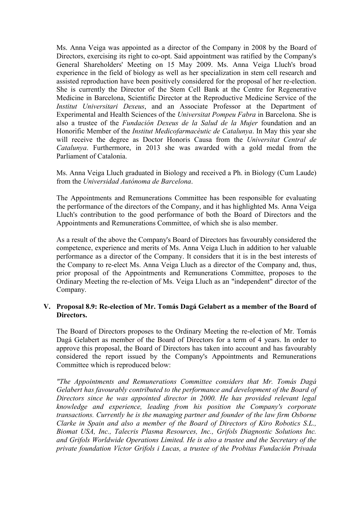Ms. Anna Veiga was appointed as a director of the Company in 2008 by the Board of Directors, exercising its right to co-opt. Said appointment was ratified by the Company's General Shareholders' Meeting on 15 May 2009. Ms. Anna Veiga Lluch's broad experience in the field of biology as well as her specialization in stem cell research and assisted reproduction have been positively considered for the proposal of her re-election. She is currently the Director of the Stem Cell Bank at the Centre for Regenerative Medicine in Barcelona, Scientific Director at the Reproductive Medicine Service of the *Institut Universitari Dexeus*, and an Associate Professor at the Department of Experimental and Health Sciences of the *Universitat Pompeu Fabra* in Barcelona. She is also a trustee of the *Fundación Dexeus de la Salud de la Mujer* foundation and an Honorific Member of the *Institut Medicofarmacèutic de Catalunya*. In May this year she will receive the degree as Doctor Honoris Causa from the *Universitat Central de Catalunya*. Furthermore, in 2013 she was awarded with a gold medal from the Parliament of Catalonia.

Ms. Anna Veiga Lluch graduated in Biology and received a Ph. in Biology (Cum Laude) from the *Universidad Autónoma de Barcelona*.

The Appointments and Remunerations Committee has been responsible for evaluating the performance of the directors of the Company, and it has highlighted Ms. Anna Veiga Lluch's contribution to the good performance of both the Board of Directors and the Appointments and Remunerations Committee, of which she is also member.

As a result of the above the Company's Board of Directors has favourably considered the competence, experience and merits of Ms. Anna Veiga Lluch in addition to her valuable performance as a director of the Company. It considers that it is in the best interests of the Company to re-elect Ms. Anna Veiga Lluch as a director of the Company and, thus, prior proposal of the Appointments and Remunerations Committee, proposes to the Ordinary Meeting the re-election of Ms. Veiga Lluch as an "independent" director of the Company.

#### **V. Proposal 8.9: Re-election of Mr. Tomás Dagá Gelabert as a member of the Board of Directors.**

The Board of Directors proposes to the Ordinary Meeting the re-election of Mr. Tomás Dagá Gelabert as member of the Board of Directors for a term of 4 years. In order to approve this proposal, the Board of Directors has taken into account and has favourably considered the report issued by the Company's Appointments and Remunerations Committee which is reproduced below:

*"The Appointments and Remunerations Committee considers that Mr. Tomás Dagá Gelabert has favourably contributed to the performance and development of the Board of Directors since he was appointed director in 2000. He has provided relevant legal knowledge and experience, leading from his position the Company's corporate transactions. Currently he is the managing partner and founder of the law firm Osborne Clarke in Spain and also a member of the Board of Directors of Kiro Robotics S.L., Biomat USA, Inc., Talecris Plasma Resources, Inc., Grifols Diagnostic Solutions Inc. and Grifols Worldwide Operations Limited. He is also a trustee and the Secretary of the private foundation Víctor Grifols i Lucas, a trustee of the Probitas Fundación Privada*